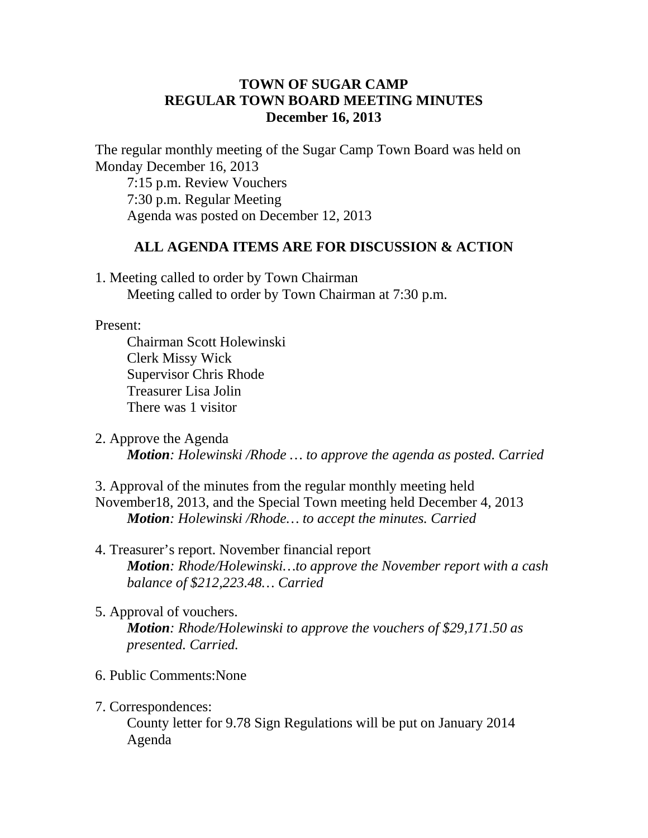## **TOWN OF SUGAR CAMP REGULAR TOWN BOARD MEETING MINUTES December 16, 2013**

The regular monthly meeting of the Sugar Camp Town Board was held on Monday December 16, 2013

7:15 p.m. Review Vouchers 7:30 p.m. Regular Meeting Agenda was posted on December 12, 2013

## **ALL AGENDA ITEMS ARE FOR DISCUSSION & ACTION**

1. Meeting called to order by Town Chairman Meeting called to order by Town Chairman at 7:30 p.m.

## Present:

Chairman Scott Holewinski Clerk Missy Wick Supervisor Chris Rhode Treasurer Lisa Jolin There was 1 visitor

2. Approve the Agenda *Motion: Holewinski /Rhode … to approve the agenda as posted. Carried*

3. Approval of the minutes from the regular monthly meeting held November18, 2013, and the Special Town meeting held December 4, 2013 *Motion: Holewinski /Rhode… to accept the minutes. Carried*

- 4. Treasurer's report. November financial report *Motion: Rhode/Holewinski…to approve the November report with a cash balance of \$212,223.48… Carried*
- 5. Approval of vouchers.

*Motion: Rhode/Holewinski to approve the vouchers of \$29,171.50 as presented. Carried.*

- 6. Public Comments:None
- 7. Correspondences:

County letter for 9.78 Sign Regulations will be put on January 2014 Agenda